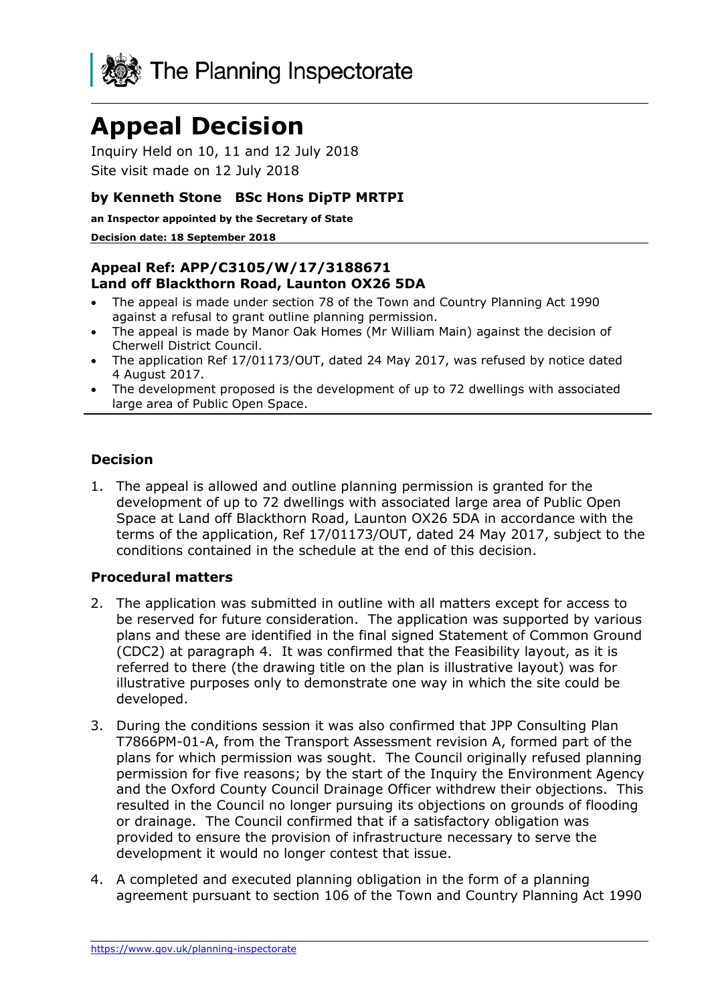

# **Appeal Decision**

Inquiry Held on 10, 11 and 12 July 2018 Site visit made on 12 July 2018

## **by Kenneth Stone BSc Hons DipTP MRTPI**

**an Inspector appointed by the Secretary of State**

#### **Decision date: 18 September 2018**

## **Appeal Ref: APP/C3105/W/17/3188671 Land off Blackthorn Road, Launton OX26 5DA**

- The appeal is made under section 78 of the Town and Country Planning Act 1990 against a refusal to grant outline planning permission.
- The appeal is made by Manor Oak Homes (Mr William Main) against the decision of Cherwell District Council.
- The application Ref 17/01173/OUT, dated 24 May 2017, was refused by notice dated 4 August 2017.
- The development proposed is the development of up to 72 dwellings with associated large area of Public Open Space.

## **Decision**

1. The appeal is allowed and outline planning permission is granted for the development of up to 72 dwellings with associated large area of Public Open Space at Land off Blackthorn Road, Launton OX26 5DA in accordance with the terms of the application, Ref 17/01173/OUT, dated 24 May 2017, subject to the conditions contained in the schedule at the end of this decision.

#### **Procedural matters**

- 2. The application was submitted in outline with all matters except for access to be reserved for future consideration. The application was supported by various plans and these are identified in the final signed Statement of Common Ground (CDC2) at paragraph 4. It was confirmed that the Feasibility layout, as it is referred to there (the drawing title on the plan is illustrative layout) was for illustrative purposes only to demonstrate one way in which the site could be developed.
- 3. During the conditions session it was also confirmed that JPP Consulting Plan T7866PM-01-A, from the Transport Assessment revision A, formed part of the plans for which permission was sought. The Council originally refused planning permission for five reasons; by the start of the Inquiry the Environment Agency and the Oxford County Council Drainage Officer withdrew their objections. This resulted in the Council no longer pursuing its objections on grounds of flooding or drainage. The Council confirmed that if a satisfactory obligation was provided to ensure the provision of infrastructure necessary to serve the development it would no longer contest that issue.
- 4. A completed and executed planning obligation in the form of a planning agreement pursuant to section 106 of the Town and Country Planning Act 1990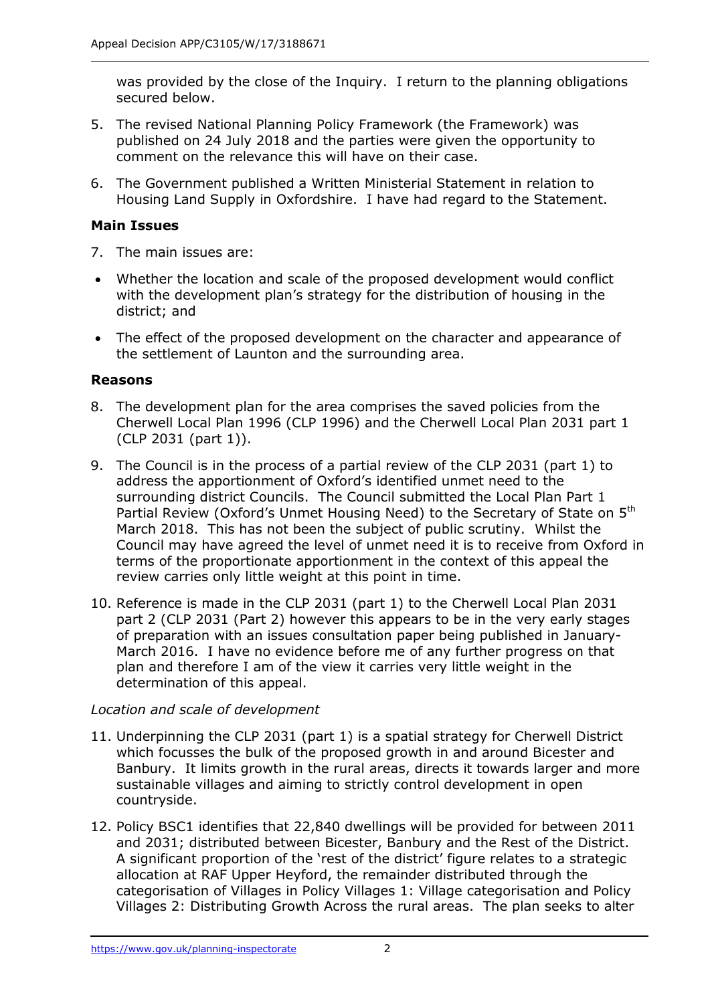was provided by the close of the Inquiry. I return to the planning obligations secured below.

- 5. The revised National Planning Policy Framework (the Framework) was published on 24 July 2018 and the parties were given the opportunity to comment on the relevance this will have on their case.
- 6. The Government published a Written Ministerial Statement in relation to Housing Land Supply in Oxfordshire. I have had regard to the Statement.

## **Main Issues**

- 7. The main issues are:
- Whether the location and scale of the proposed development would conflict with the development plan's strategy for the distribution of housing in the district; and
- The effect of the proposed development on the character and appearance of the settlement of Launton and the surrounding area.

## **Reasons**

- 8. The development plan for the area comprises the saved policies from the Cherwell Local Plan 1996 (CLP 1996) and the Cherwell Local Plan 2031 part 1 (CLP 2031 (part 1)).
- 9. The Council is in the process of a partial review of the CLP 2031 (part 1) to address the apportionment of Oxford's identified unmet need to the surrounding district Councils. The Council submitted the Local Plan Part 1 Partial Review (Oxford's Unmet Housing Need) to the Secretary of State on 5<sup>th</sup> March 2018. This has not been the subject of public scrutiny. Whilst the Council may have agreed the level of unmet need it is to receive from Oxford in terms of the proportionate apportionment in the context of this appeal the review carries only little weight at this point in time.
- 10. Reference is made in the CLP 2031 (part 1) to the Cherwell Local Plan 2031 part 2 (CLP 2031 (Part 2) however this appears to be in the very early stages of preparation with an issues consultation paper being published in January-March 2016. I have no evidence before me of any further progress on that plan and therefore I am of the view it carries very little weight in the determination of this appeal.

#### *Location and scale of development*

- 11. Underpinning the CLP 2031 (part 1) is a spatial strategy for Cherwell District which focusses the bulk of the proposed growth in and around Bicester and Banbury. It limits growth in the rural areas, directs it towards larger and more sustainable villages and aiming to strictly control development in open countryside.
- 12. Policy BSC1 identifies that 22,840 dwellings will be provided for between 2011 and 2031; distributed between Bicester, Banbury and the Rest of the District. A significant proportion of the 'rest of the district' figure relates to a strategic allocation at RAF Upper Heyford, the remainder distributed through the categorisation of Villages in Policy Villages 1: Village categorisation and Policy Villages 2: Distributing Growth Across the rural areas. The plan seeks to alter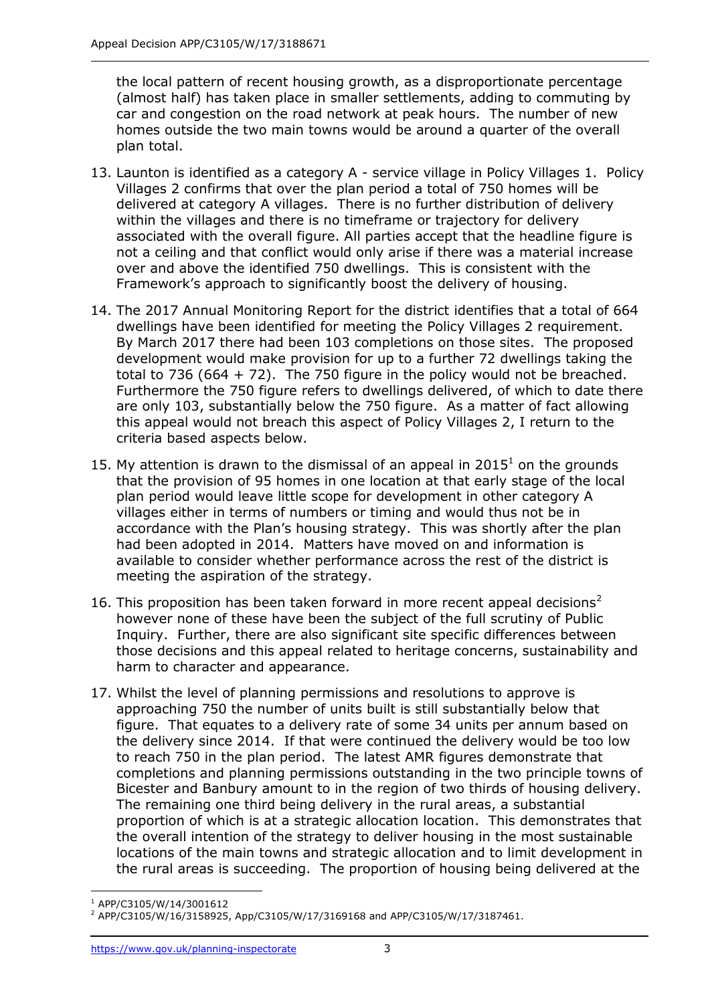the local pattern of recent housing growth, as a disproportionate percentage (almost half) has taken place in smaller settlements, adding to commuting by car and congestion on the road network at peak hours. The number of new homes outside the two main towns would be around a quarter of the overall plan total.

- 13. Launton is identified as a category A service village in Policy Villages 1. Policy Villages 2 confirms that over the plan period a total of 750 homes will be delivered at category A villages. There is no further distribution of delivery within the villages and there is no timeframe or trajectory for delivery associated with the overall figure. All parties accept that the headline figure is not a ceiling and that conflict would only arise if there was a material increase over and above the identified 750 dwellings. This is consistent with the Framework's approach to significantly boost the delivery of housing.
- 14. The 2017 Annual Monitoring Report for the district identifies that a total of 664 dwellings have been identified for meeting the Policy Villages 2 requirement. By March 2017 there had been 103 completions on those sites. The proposed development would make provision for up to a further 72 dwellings taking the total to 736 (664 + 72). The 750 figure in the policy would not be breached. Furthermore the 750 figure refers to dwellings delivered, of which to date there are only 103, substantially below the 750 figure. As a matter of fact allowing this appeal would not breach this aspect of Policy Villages 2, I return to the criteria based aspects below.
- 15. My attention is drawn to the dismissal of an appeal in  $2015<sup>1</sup>$  on the grounds that the provision of 95 homes in one location at that early stage of the local plan period would leave little scope for development in other category A villages either in terms of numbers or timing and would thus not be in accordance with the Plan's housing strategy. This was shortly after the plan had been adopted in 2014. Matters have moved on and information is available to consider whether performance across the rest of the district is meeting the aspiration of the strategy.
- 16. This proposition has been taken forward in more recent appeal decisions<sup>2</sup> however none of these have been the subject of the full scrutiny of Public Inquiry. Further, there are also significant site specific differences between those decisions and this appeal related to heritage concerns, sustainability and harm to character and appearance.
- 17. Whilst the level of planning permissions and resolutions to approve is approaching 750 the number of units built is still substantially below that figure. That equates to a delivery rate of some 34 units per annum based on the delivery since 2014. If that were continued the delivery would be too low to reach 750 in the plan period. The latest AMR figures demonstrate that completions and planning permissions outstanding in the two principle towns of Bicester and Banbury amount to in the region of two thirds of housing delivery. The remaining one third being delivery in the rural areas, a substantial proportion of which is at a strategic allocation location. This demonstrates that the overall intention of the strategy to deliver housing in the most sustainable locations of the main towns and strategic allocation and to limit development in the rural areas is succeeding. The proportion of housing being delivered at the

j <sup>1</sup> APP/C3105/W/14/3001612

<sup>2</sup> APP/C3105/W/16/3158925, App/C3105/W/17/3169168 and APP/C3105/W/17/3187461.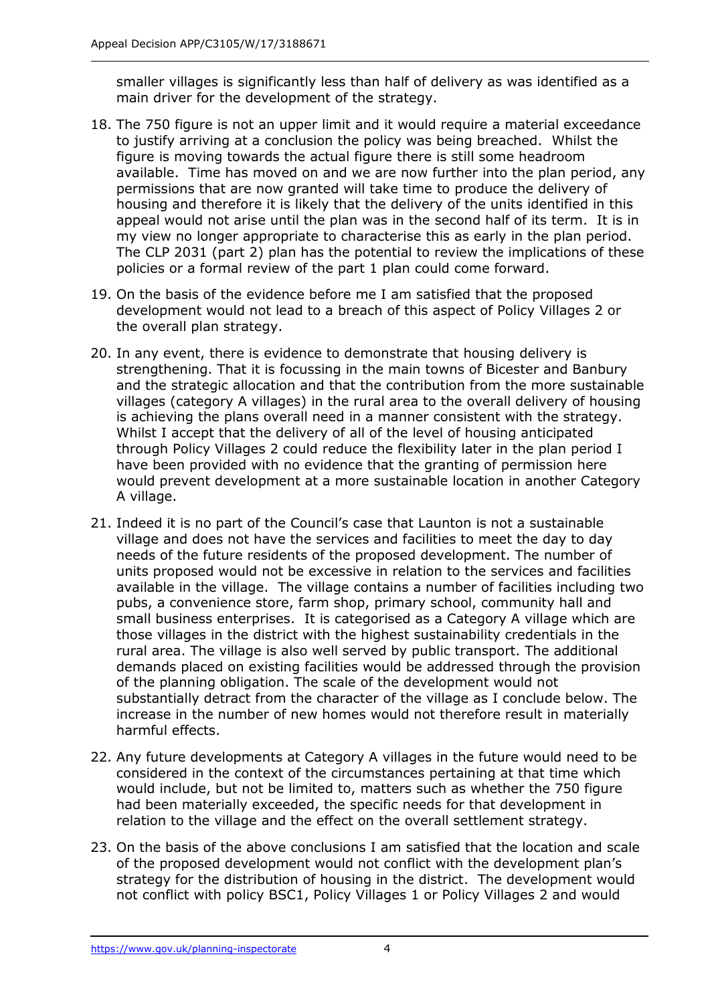smaller villages is significantly less than half of delivery as was identified as a main driver for the development of the strategy.

- 18. The 750 figure is not an upper limit and it would require a material exceedance to justify arriving at a conclusion the policy was being breached. Whilst the figure is moving towards the actual figure there is still some headroom available. Time has moved on and we are now further into the plan period, any permissions that are now granted will take time to produce the delivery of housing and therefore it is likely that the delivery of the units identified in this appeal would not arise until the plan was in the second half of its term. It is in my view no longer appropriate to characterise this as early in the plan period. The CLP 2031 (part 2) plan has the potential to review the implications of these policies or a formal review of the part 1 plan could come forward.
- 19. On the basis of the evidence before me I am satisfied that the proposed development would not lead to a breach of this aspect of Policy Villages 2 or the overall plan strategy.
- 20. In any event, there is evidence to demonstrate that housing delivery is strengthening. That it is focussing in the main towns of Bicester and Banbury and the strategic allocation and that the contribution from the more sustainable villages (category A villages) in the rural area to the overall delivery of housing is achieving the plans overall need in a manner consistent with the strategy. Whilst I accept that the delivery of all of the level of housing anticipated through Policy Villages 2 could reduce the flexibility later in the plan period I have been provided with no evidence that the granting of permission here would prevent development at a more sustainable location in another Category A village.
- 21. Indeed it is no part of the Council's case that Launton is not a sustainable village and does not have the services and facilities to meet the day to day needs of the future residents of the proposed development. The number of units proposed would not be excessive in relation to the services and facilities available in the village. The village contains a number of facilities including two pubs, a convenience store, farm shop, primary school, community hall and small business enterprises. It is categorised as a Category A village which are those villages in the district with the highest sustainability credentials in the rural area. The village is also well served by public transport. The additional demands placed on existing facilities would be addressed through the provision of the planning obligation. The scale of the development would not substantially detract from the character of the village as I conclude below. The increase in the number of new homes would not therefore result in materially harmful effects.
- 22. Any future developments at Category A villages in the future would need to be considered in the context of the circumstances pertaining at that time which would include, but not be limited to, matters such as whether the 750 figure had been materially exceeded, the specific needs for that development in relation to the village and the effect on the overall settlement strategy.
- 23. On the basis of the above conclusions I am satisfied that the location and scale of the proposed development would not conflict with the development plan's strategy for the distribution of housing in the district. The development would not conflict with policy BSC1, Policy Villages 1 or Policy Villages 2 and would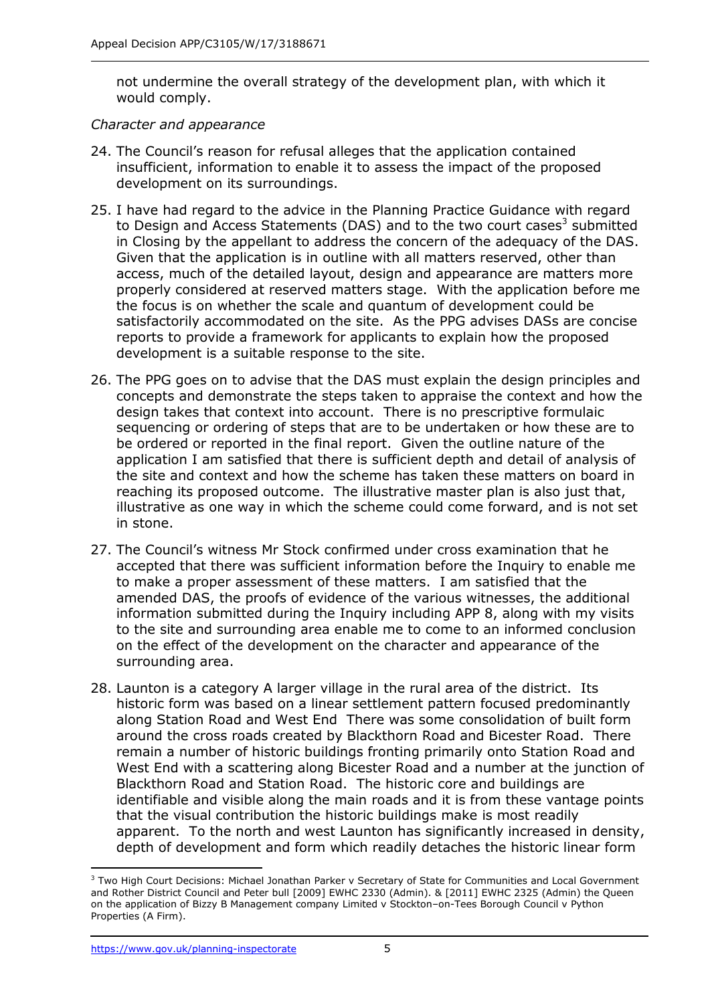not undermine the overall strategy of the development plan, with which it would comply.

#### *Character and appearance*

- 24. The Council's reason for refusal alleges that the application contained insufficient, information to enable it to assess the impact of the proposed development on its surroundings.
- 25. I have had regard to the advice in the Planning Practice Guidance with regard to Design and Access Statements (DAS) and to the two court cases<sup>3</sup> submitted in Closing by the appellant to address the concern of the adequacy of the DAS. Given that the application is in outline with all matters reserved, other than access, much of the detailed layout, design and appearance are matters more properly considered at reserved matters stage. With the application before me the focus is on whether the scale and quantum of development could be satisfactorily accommodated on the site. As the PPG advises DASs are concise reports to provide a framework for applicants to explain how the proposed development is a suitable response to the site.
- 26. The PPG goes on to advise that the DAS must explain the design principles and concepts and demonstrate the steps taken to appraise the context and how the design takes that context into account. There is no prescriptive formulaic sequencing or ordering of steps that are to be undertaken or how these are to be ordered or reported in the final report. Given the outline nature of the application I am satisfied that there is sufficient depth and detail of analysis of the site and context and how the scheme has taken these matters on board in reaching its proposed outcome. The illustrative master plan is also just that, illustrative as one way in which the scheme could come forward, and is not set in stone.
- 27. The Council's witness Mr Stock confirmed under cross examination that he accepted that there was sufficient information before the Inquiry to enable me to make a proper assessment of these matters. I am satisfied that the amended DAS, the proofs of evidence of the various witnesses, the additional information submitted during the Inquiry including APP 8, along with my visits to the site and surrounding area enable me to come to an informed conclusion on the effect of the development on the character and appearance of the surrounding area.
- 28. Launton is a category A larger village in the rural area of the district. Its historic form was based on a linear settlement pattern focused predominantly along Station Road and West End There was some consolidation of built form around the cross roads created by Blackthorn Road and Bicester Road. There remain a number of historic buildings fronting primarily onto Station Road and West End with a scattering along Bicester Road and a number at the junction of Blackthorn Road and Station Road. The historic core and buildings are identifiable and visible along the main roads and it is from these vantage points that the visual contribution the historic buildings make is most readily apparent. To the north and west Launton has significantly increased in density, depth of development and form which readily detaches the historic linear form

j <sup>3</sup> Two High Court Decisions: Michael Jonathan Parker v Secretary of State for Communities and Local Government and Rother District Council and Peter bull [2009] EWHC 2330 (Admin). & [2011] EWHC 2325 (Admin) the Queen on the application of Bizzy B Management company Limited v Stockton–on-Tees Borough Council v Python Properties (A Firm).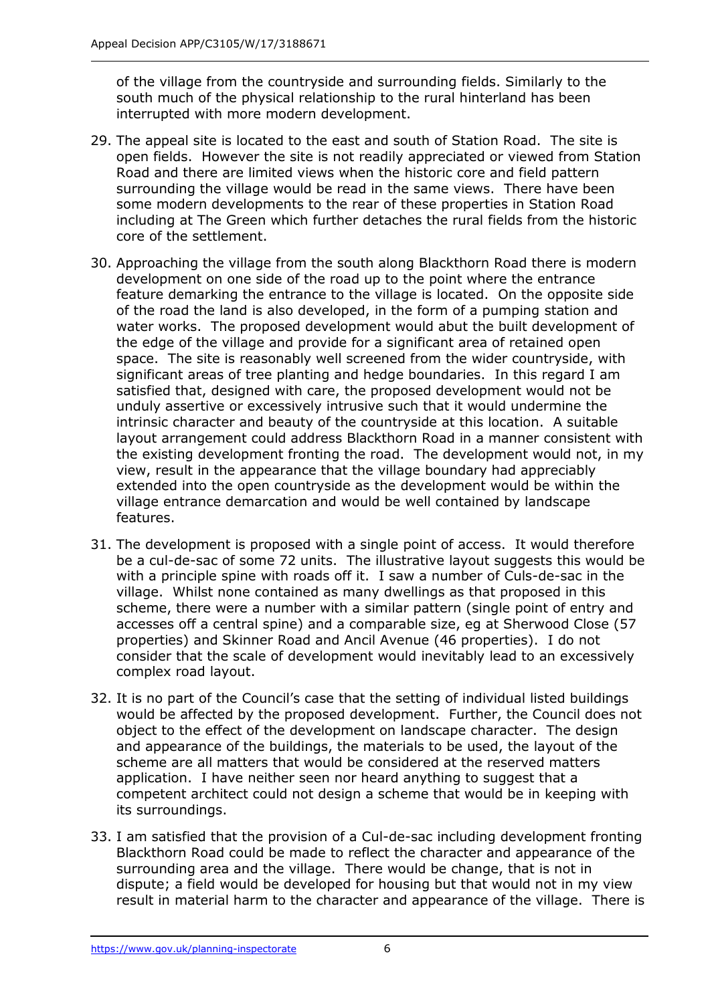of the village from the countryside and surrounding fields. Similarly to the south much of the physical relationship to the rural hinterland has been interrupted with more modern development.

- 29. The appeal site is located to the east and south of Station Road. The site is open fields. However the site is not readily appreciated or viewed from Station Road and there are limited views when the historic core and field pattern surrounding the village would be read in the same views. There have been some modern developments to the rear of these properties in Station Road including at The Green which further detaches the rural fields from the historic core of the settlement.
- 30. Approaching the village from the south along Blackthorn Road there is modern development on one side of the road up to the point where the entrance feature demarking the entrance to the village is located. On the opposite side of the road the land is also developed, in the form of a pumping station and water works. The proposed development would abut the built development of the edge of the village and provide for a significant area of retained open space. The site is reasonably well screened from the wider countryside, with significant areas of tree planting and hedge boundaries. In this regard I am satisfied that, designed with care, the proposed development would not be unduly assertive or excessively intrusive such that it would undermine the intrinsic character and beauty of the countryside at this location. A suitable layout arrangement could address Blackthorn Road in a manner consistent with the existing development fronting the road. The development would not, in my view, result in the appearance that the village boundary had appreciably extended into the open countryside as the development would be within the village entrance demarcation and would be well contained by landscape features.
- 31. The development is proposed with a single point of access. It would therefore be a cul-de-sac of some 72 units. The illustrative layout suggests this would be with a principle spine with roads off it. I saw a number of Culs-de-sac in the village. Whilst none contained as many dwellings as that proposed in this scheme, there were a number with a similar pattern (single point of entry and accesses off a central spine) and a comparable size, eg at Sherwood Close (57 properties) and Skinner Road and Ancil Avenue (46 properties). I do not consider that the scale of development would inevitably lead to an excessively complex road layout.
- 32. It is no part of the Council's case that the setting of individual listed buildings would be affected by the proposed development. Further, the Council does not object to the effect of the development on landscape character. The design and appearance of the buildings, the materials to be used, the layout of the scheme are all matters that would be considered at the reserved matters application. I have neither seen nor heard anything to suggest that a competent architect could not design a scheme that would be in keeping with its surroundings.
- 33. I am satisfied that the provision of a Cul-de-sac including development fronting Blackthorn Road could be made to reflect the character and appearance of the surrounding area and the village. There would be change, that is not in dispute; a field would be developed for housing but that would not in my view result in material harm to the character and appearance of the village. There is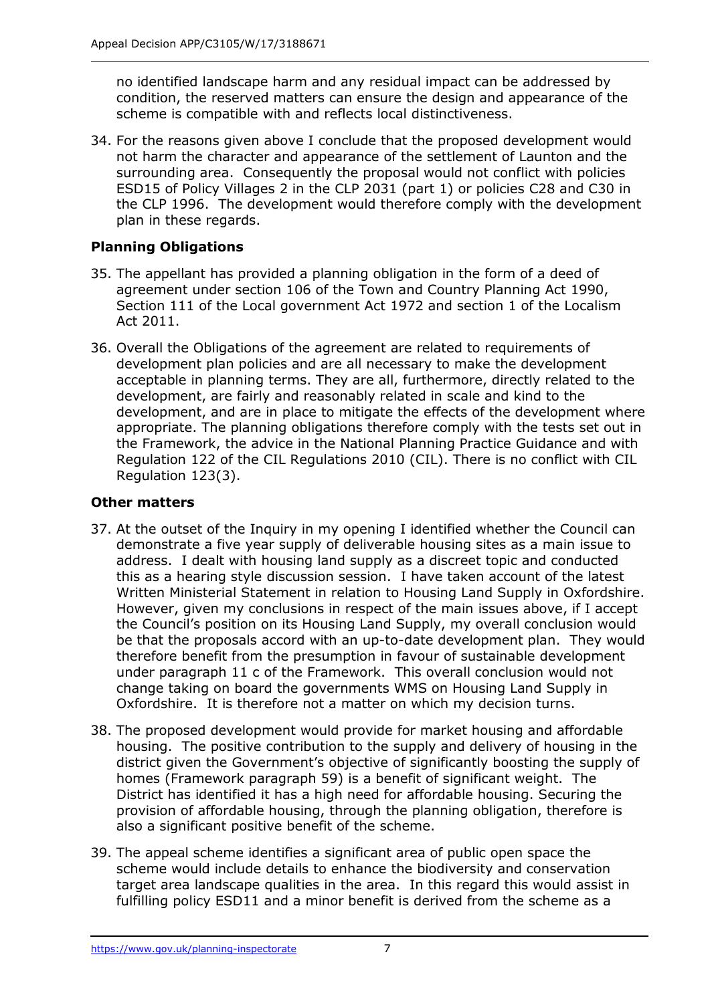no identified landscape harm and any residual impact can be addressed by condition, the reserved matters can ensure the design and appearance of the scheme is compatible with and reflects local distinctiveness.

34. For the reasons given above I conclude that the proposed development would not harm the character and appearance of the settlement of Launton and the surrounding area. Consequently the proposal would not conflict with policies ESD15 of Policy Villages 2 in the CLP 2031 (part 1) or policies C28 and C30 in the CLP 1996. The development would therefore comply with the development plan in these regards.

## **Planning Obligations**

- 35. The appellant has provided a planning obligation in the form of a deed of agreement under section 106 of the Town and Country Planning Act 1990, Section 111 of the Local government Act 1972 and section 1 of the Localism Act 2011.
- 36. Overall the Obligations of the agreement are related to requirements of development plan policies and are all necessary to make the development acceptable in planning terms. They are all, furthermore, directly related to the development, are fairly and reasonably related in scale and kind to the development, and are in place to mitigate the effects of the development where appropriate. The planning obligations therefore comply with the tests set out in the Framework, the advice in the National Planning Practice Guidance and with Regulation 122 of the CIL Regulations 2010 (CIL). There is no conflict with CIL Regulation 123(3).

## **Other matters**

- 37. At the outset of the Inquiry in my opening I identified whether the Council can demonstrate a five year supply of deliverable housing sites as a main issue to address. I dealt with housing land supply as a discreet topic and conducted this as a hearing style discussion session. I have taken account of the latest Written Ministerial Statement in relation to Housing Land Supply in Oxfordshire. However, given my conclusions in respect of the main issues above, if I accept the Council's position on its Housing Land Supply, my overall conclusion would be that the proposals accord with an up-to-date development plan. They would therefore benefit from the presumption in favour of sustainable development under paragraph 11 c of the Framework. This overall conclusion would not change taking on board the governments WMS on Housing Land Supply in Oxfordshire. It is therefore not a matter on which my decision turns.
- 38. The proposed development would provide for market housing and affordable housing. The positive contribution to the supply and delivery of housing in the district given the Government's objective of significantly boosting the supply of homes (Framework paragraph 59) is a benefit of significant weight. The District has identified it has a high need for affordable housing. Securing the provision of affordable housing, through the planning obligation, therefore is also a significant positive benefit of the scheme.
- 39. The appeal scheme identifies a significant area of public open space the scheme would include details to enhance the biodiversity and conservation target area landscape qualities in the area. In this regard this would assist in fulfilling policy ESD11 and a minor benefit is derived from the scheme as a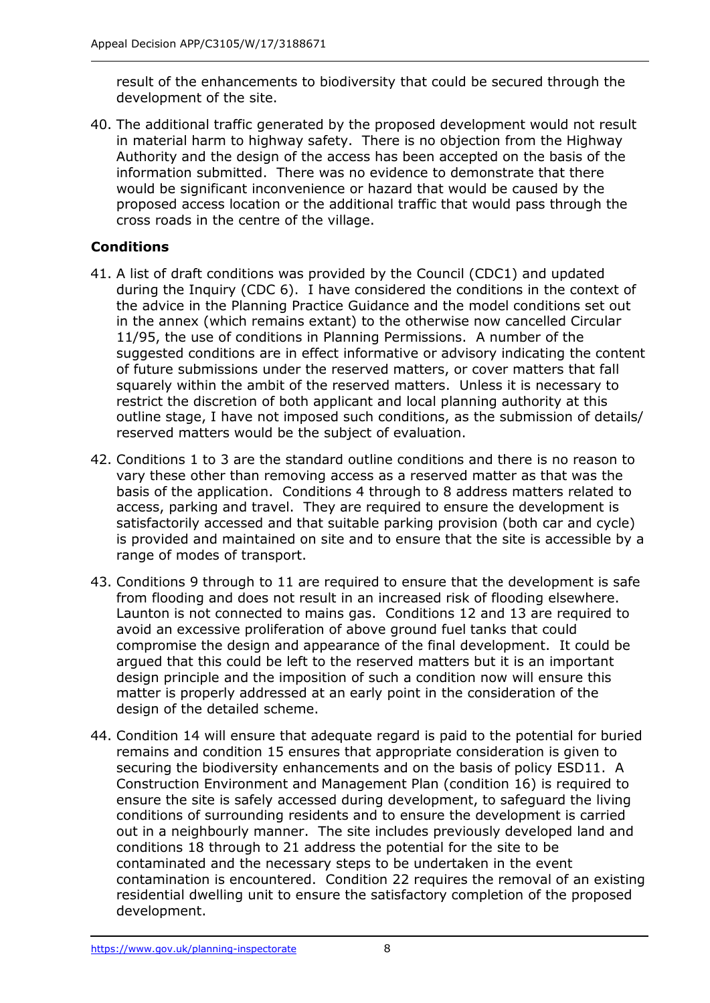result of the enhancements to biodiversity that could be secured through the development of the site.

40. The additional traffic generated by the proposed development would not result in material harm to highway safety. There is no objection from the Highway Authority and the design of the access has been accepted on the basis of the information submitted. There was no evidence to demonstrate that there would be significant inconvenience or hazard that would be caused by the proposed access location or the additional traffic that would pass through the cross roads in the centre of the village.

## **Conditions**

- 41. A list of draft conditions was provided by the Council (CDC1) and updated during the Inquiry (CDC 6). I have considered the conditions in the context of the advice in the Planning Practice Guidance and the model conditions set out in the annex (which remains extant) to the otherwise now cancelled Circular 11/95, the use of conditions in Planning Permissions. A number of the suggested conditions are in effect informative or advisory indicating the content of future submissions under the reserved matters, or cover matters that fall squarely within the ambit of the reserved matters. Unless it is necessary to restrict the discretion of both applicant and local planning authority at this outline stage, I have not imposed such conditions, as the submission of details/ reserved matters would be the subject of evaluation.
- 42. Conditions 1 to 3 are the standard outline conditions and there is no reason to vary these other than removing access as a reserved matter as that was the basis of the application. Conditions 4 through to 8 address matters related to access, parking and travel. They are required to ensure the development is satisfactorily accessed and that suitable parking provision (both car and cycle) is provided and maintained on site and to ensure that the site is accessible by a range of modes of transport.
- 43. Conditions 9 through to 11 are required to ensure that the development is safe from flooding and does not result in an increased risk of flooding elsewhere. Launton is not connected to mains gas. Conditions 12 and 13 are required to avoid an excessive proliferation of above ground fuel tanks that could compromise the design and appearance of the final development. It could be argued that this could be left to the reserved matters but it is an important design principle and the imposition of such a condition now will ensure this matter is properly addressed at an early point in the consideration of the design of the detailed scheme.
- 44. Condition 14 will ensure that adequate regard is paid to the potential for buried remains and condition 15 ensures that appropriate consideration is given to securing the biodiversity enhancements and on the basis of policy ESD11. A Construction Environment and Management Plan (condition 16) is required to ensure the site is safely accessed during development, to safeguard the living conditions of surrounding residents and to ensure the development is carried out in a neighbourly manner. The site includes previously developed land and conditions 18 through to 21 address the potential for the site to be contaminated and the necessary steps to be undertaken in the event contamination is encountered. Condition 22 requires the removal of an existing residential dwelling unit to ensure the satisfactory completion of the proposed development.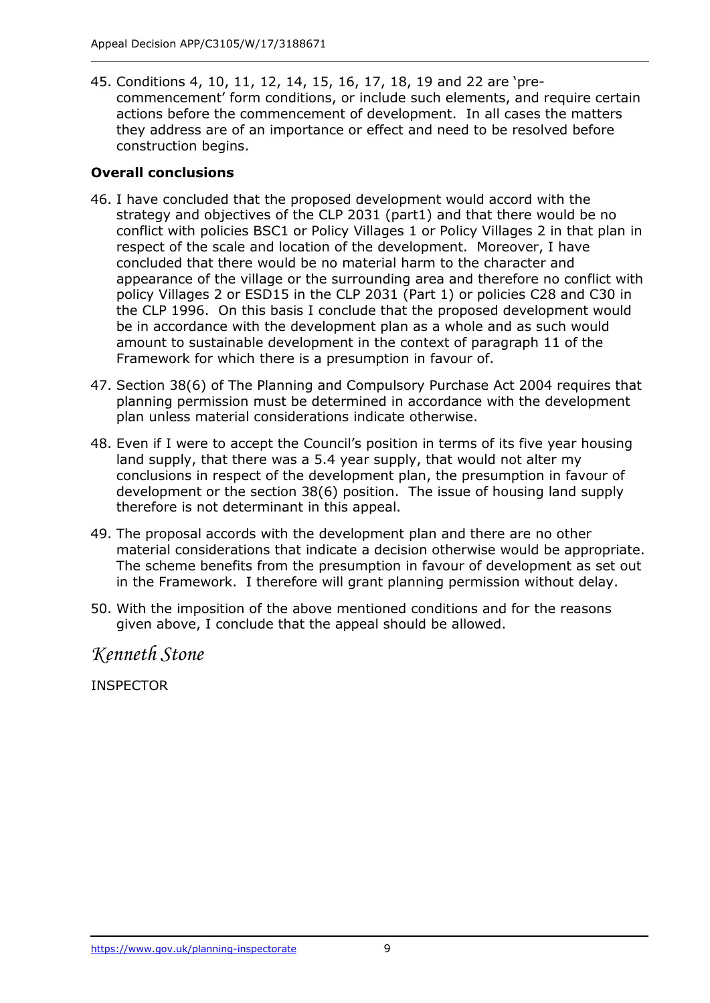45. Conditions 4, 10, 11, 12, 14, 15, 16, 17, 18, 19 and 22 are 'precommencement' form conditions, or include such elements, and require certain actions before the commencement of development. In all cases the matters they address are of an importance or effect and need to be resolved before construction begins.

## **Overall conclusions**

- 46. I have concluded that the proposed development would accord with the strategy and objectives of the CLP 2031 (part1) and that there would be no conflict with policies BSC1 or Policy Villages 1 or Policy Villages 2 in that plan in respect of the scale and location of the development. Moreover, I have concluded that there would be no material harm to the character and appearance of the village or the surrounding area and therefore no conflict with policy Villages 2 or ESD15 in the CLP 2031 (Part 1) or policies C28 and C30 in the CLP 1996. On this basis I conclude that the proposed development would be in accordance with the development plan as a whole and as such would amount to sustainable development in the context of paragraph 11 of the Framework for which there is a presumption in favour of.
- 47. Section 38(6) of The Planning and Compulsory Purchase Act 2004 requires that planning permission must be determined in accordance with the development plan unless material considerations indicate otherwise.
- 48. Even if I were to accept the Council's position in terms of its five year housing land supply, that there was a 5.4 year supply, that would not alter my conclusions in respect of the development plan, the presumption in favour of development or the section 38(6) position. The issue of housing land supply therefore is not determinant in this appeal.
- 49. The proposal accords with the development plan and there are no other material considerations that indicate a decision otherwise would be appropriate. The scheme benefits from the presumption in favour of development as set out in the Framework. I therefore will grant planning permission without delay.
- 50. With the imposition of the above mentioned conditions and for the reasons given above, I conclude that the appeal should be allowed.

*Kenneth Stone*

INSPECTOR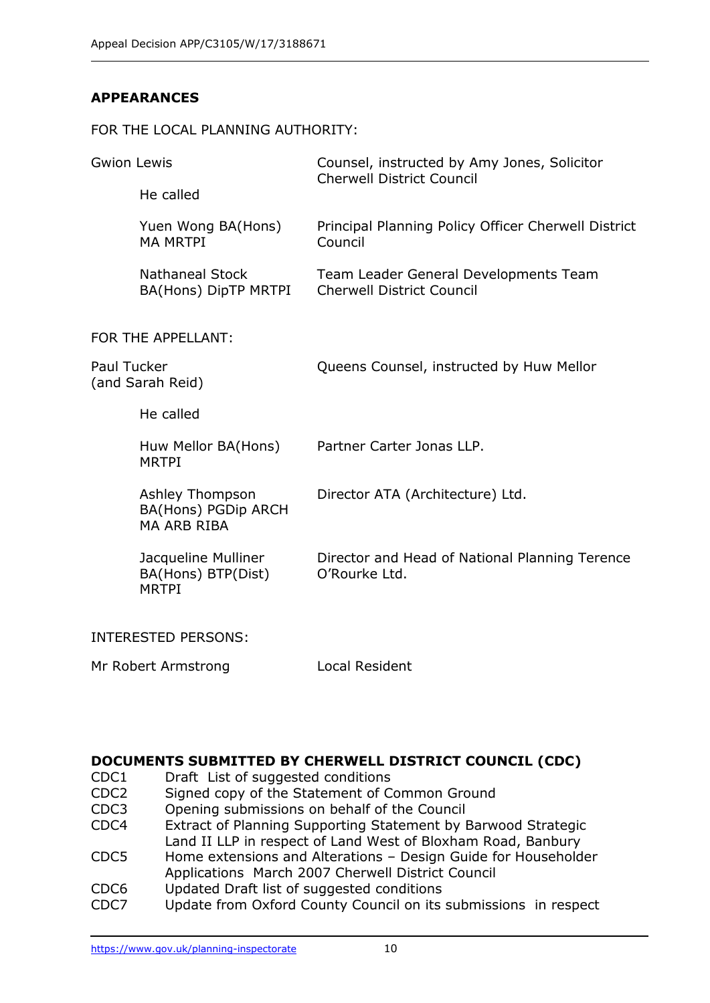## **APPEARANCES**

#### FOR THE LOCAL PLANNING AUTHORITY:

| <b>Gwion Lewis</b>                     |                                                              | Counsel, instructed by Amy Jones, Solicitor<br><b>Cherwell District Council</b> |
|----------------------------------------|--------------------------------------------------------------|---------------------------------------------------------------------------------|
|                                        | He called                                                    |                                                                                 |
|                                        | Yuen Wong BA(Hons)<br><b>MA MRTPI</b>                        | Principal Planning Policy Officer Cherwell District<br>Council                  |
|                                        | <b>Nathaneal Stock</b><br>BA(Hons) DipTP MRTPI               | Team Leader General Developments Team<br><b>Cherwell District Council</b>       |
|                                        | FOR THE APPELLANT:                                           |                                                                                 |
| <b>Paul Tucker</b><br>(and Sarah Reid) |                                                              | Queens Counsel, instructed by Huw Mellor                                        |
|                                        | He called                                                    |                                                                                 |
|                                        | Huw Mellor BA(Hons)<br><b>MRTPI</b>                          | Partner Carter Jonas LLP.                                                       |
|                                        | Ashley Thompson<br>BA(Hons) PGDip ARCH<br><b>MA ARB RIBA</b> | Director ATA (Architecture) Ltd.                                                |
|                                        | Jacqueline Mulliner<br>BA(Hons) BTP(Dist)<br><b>MRTPI</b>    | Director and Head of National Planning Terence<br>O'Rourke Ltd.                 |
|                                        | <b>INTERESTED PERSONS:</b>                                   |                                                                                 |
| Mr Robert Armstrong                    |                                                              | Local Resident                                                                  |

#### **DOCUMENTS SUBMITTED BY CHERWELL DISTRICT COUNCIL (CDC)**

- CDC1 Draft List of suggested conditions
- CDC2 Signed copy of the Statement of Common Ground
- CDC3 Opening submissions on behalf of the Council
- CDC4 Extract of Planning Supporting Statement by Barwood Strategic Land II LLP in respect of Land West of Bloxham Road, Banbury
- CDC5 Home extensions and Alterations Design Guide for Householder Applications March 2007 Cherwell District Council
- CDC6 Updated Draft list of suggested conditions
- CDC7 Update from Oxford County Council on its submissions in respect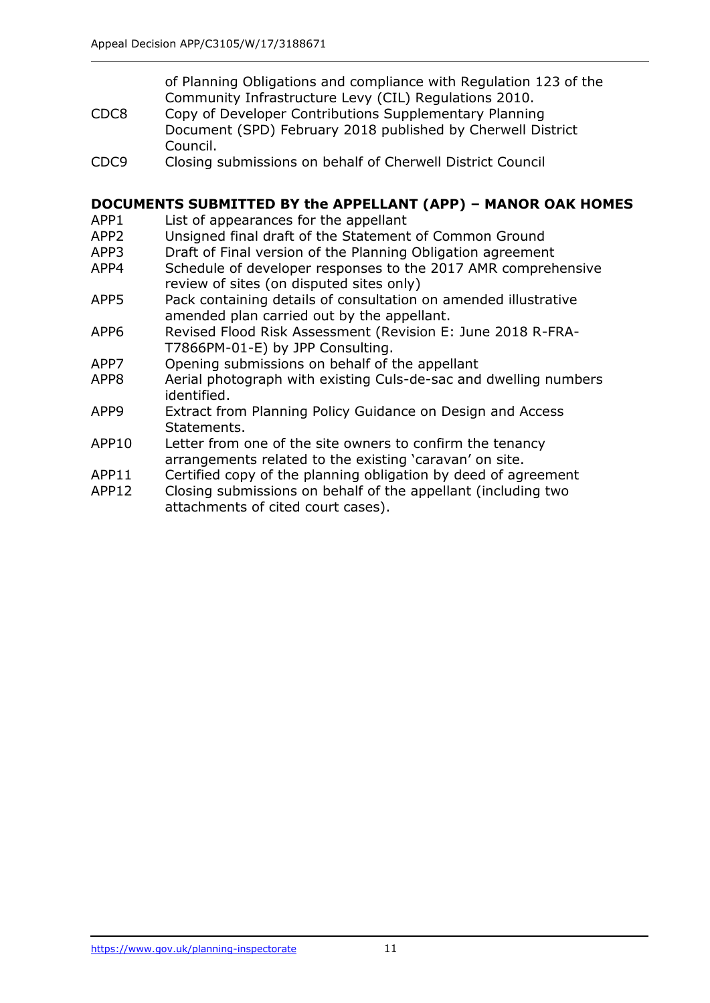of Planning Obligations and compliance with Regulation 123 of the Community Infrastructure Levy (CIL) Regulations 2010.

- CDC8 Copy of Developer Contributions Supplementary Planning Document (SPD) February 2018 published by Cherwell District Council.
- CDC9 Closing submissions on behalf of Cherwell District Council

## **DOCUMENTS SUBMITTED BY the APPELLANT (APP) – MANOR OAK HOMES**

- APP1 List of appearances for the appellant
- APP2 Unsigned final draft of the Statement of Common Ground
- APP3 Draft of Final version of the Planning Obligation agreement
- APP4 Schedule of developer responses to the 2017 AMR comprehensive review of sites (on disputed sites only)
- APP5 Pack containing details of consultation on amended illustrative amended plan carried out by the appellant.
- APP6 Revised Flood Risk Assessment (Revision E: June 2018 R-FRA-T7866PM-01-E) by JPP Consulting.
- APP7 Opening submissions on behalf of the appellant
- APP8 Aerial photograph with existing Culs-de-sac and dwelling numbers identified.
- APP9 Extract from Planning Policy Guidance on Design and Access Statements.
- APP10 Letter from one of the site owners to confirm the tenancy arrangements related to the existing 'caravan' on site.
- APP11 Certified copy of the planning obligation by deed of agreement
- APP12 Closing submissions on behalf of the appellant (including two attachments of cited court cases).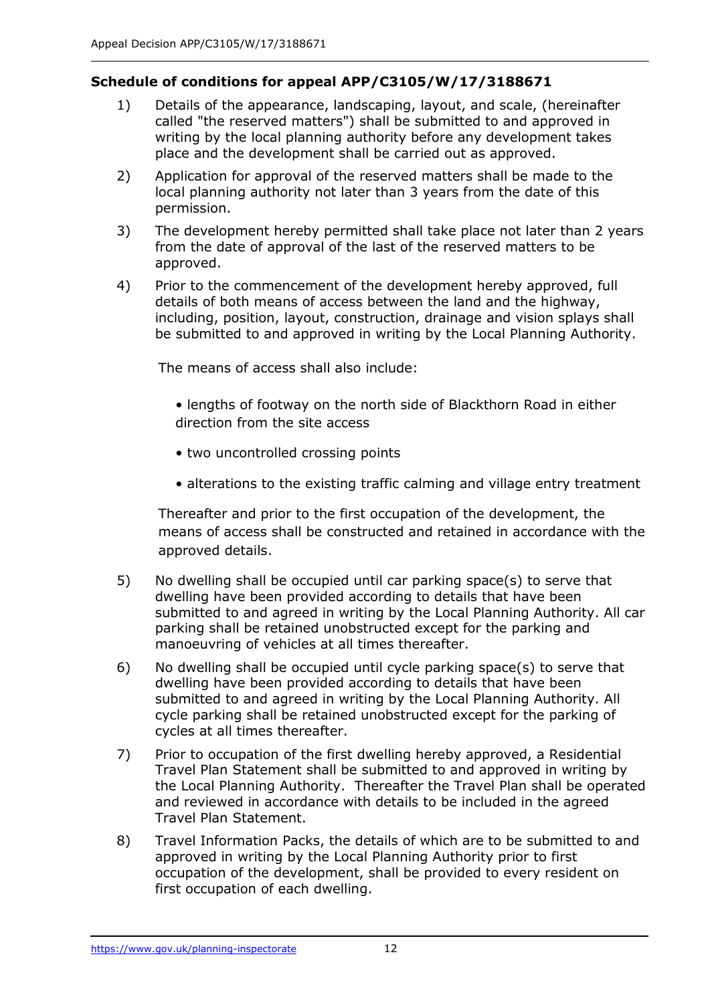## **Schedule of conditions for appeal APP/C3105/W/17/3188671**

- 1) Details of the appearance, landscaping, layout, and scale, (hereinafter called "the reserved matters") shall be submitted to and approved in writing by the local planning authority before any development takes place and the development shall be carried out as approved.
- 2) Application for approval of the reserved matters shall be made to the local planning authority not later than 3 years from the date of this permission.
- 3) The development hereby permitted shall take place not later than 2 years from the date of approval of the last of the reserved matters to be approved.
- 4) Prior to the commencement of the development hereby approved, full details of both means of access between the land and the highway, including, position, layout, construction, drainage and vision splays shall be submitted to and approved in writing by the Local Planning Authority.

The means of access shall also include:

- lengths of footway on the north side of Blackthorn Road in either direction from the site access
- two uncontrolled crossing points
- alterations to the existing traffic calming and village entry treatment

Thereafter and prior to the first occupation of the development, the means of access shall be constructed and retained in accordance with the approved details.

- 5) No dwelling shall be occupied until car parking space(s) to serve that dwelling have been provided according to details that have been submitted to and agreed in writing by the Local Planning Authority. All car parking shall be retained unobstructed except for the parking and manoeuvring of vehicles at all times thereafter.
- 6) No dwelling shall be occupied until cycle parking space(s) to serve that dwelling have been provided according to details that have been submitted to and agreed in writing by the Local Planning Authority. All cycle parking shall be retained unobstructed except for the parking of cycles at all times thereafter.
- 7) Prior to occupation of the first dwelling hereby approved, a Residential Travel Plan Statement shall be submitted to and approved in writing by the Local Planning Authority. Thereafter the Travel Plan shall be operated and reviewed in accordance with details to be included in the agreed Travel Plan Statement.
- 8) Travel Information Packs, the details of which are to be submitted to and approved in writing by the Local Planning Authority prior to first occupation of the development, shall be provided to every resident on first occupation of each dwelling.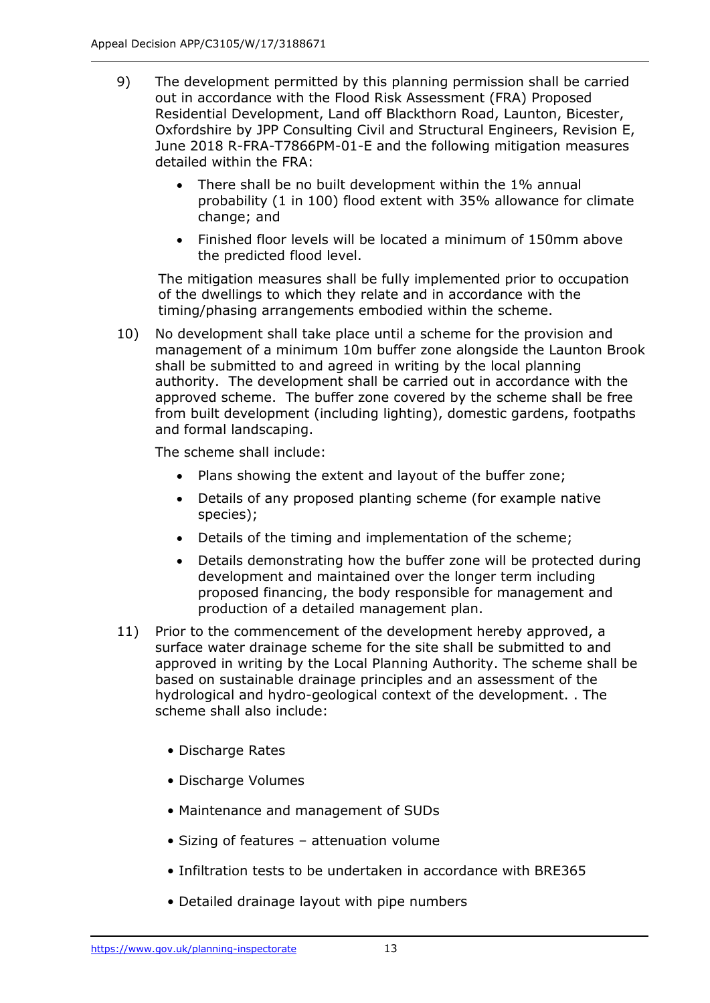- 9) The development permitted by this planning permission shall be carried out in accordance with the Flood Risk Assessment (FRA) Proposed Residential Development, Land off Blackthorn Road, Launton, Bicester, Oxfordshire by JPP Consulting Civil and Structural Engineers, Revision E, June 2018 R-FRA-T7866PM-01-E and the following mitigation measures detailed within the FRA:
	- There shall be no built development within the 1% annual probability (1 in 100) flood extent with 35% allowance for climate change; and
	- Finished floor levels will be located a minimum of 150mm above the predicted flood level.

The mitigation measures shall be fully implemented prior to occupation of the dwellings to which they relate and in accordance with the timing/phasing arrangements embodied within the scheme.

10) No development shall take place until a scheme for the provision and management of a minimum 10m buffer zone alongside the Launton Brook shall be submitted to and agreed in writing by the local planning authority. The development shall be carried out in accordance with the approved scheme. The buffer zone covered by the scheme shall be free from built development (including lighting), domestic gardens, footpaths and formal landscaping.

The scheme shall include:

- Plans showing the extent and layout of the buffer zone;
- Details of any proposed planting scheme (for example native species);
- Details of the timing and implementation of the scheme;
- Details demonstrating how the buffer zone will be protected during development and maintained over the longer term including proposed financing, the body responsible for management and production of a detailed management plan.
- 11) Prior to the commencement of the development hereby approved, a surface water drainage scheme for the site shall be submitted to and approved in writing by the Local Planning Authority. The scheme shall be based on sustainable drainage principles and an assessment of the hydrological and hydro-geological context of the development. . The scheme shall also include:
	- Discharge Rates
	- Discharge Volumes
	- Maintenance and management of SUDs
	- Sizing of features attenuation volume
	- Infiltration tests to be undertaken in accordance with BRE365
	- Detailed drainage layout with pipe numbers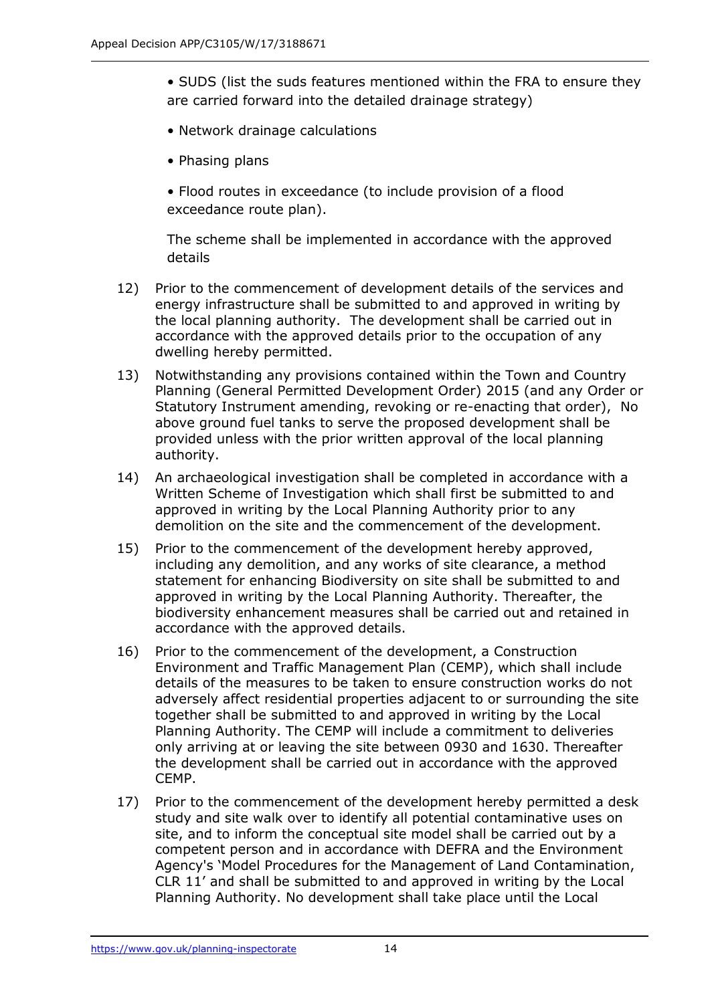- SUDS (list the suds features mentioned within the FRA to ensure they are carried forward into the detailed drainage strategy)
- Network drainage calculations
- Phasing plans
- Flood routes in exceedance (to include provision of a flood exceedance route plan).

The scheme shall be implemented in accordance with the approved details

- 12) Prior to the commencement of development details of the services and energy infrastructure shall be submitted to and approved in writing by the local planning authority. The development shall be carried out in accordance with the approved details prior to the occupation of any dwelling hereby permitted.
- 13) Notwithstanding any provisions contained within the Town and Country Planning (General Permitted Development Order) 2015 (and any Order or Statutory Instrument amending, revoking or re-enacting that order), No above ground fuel tanks to serve the proposed development shall be provided unless with the prior written approval of the local planning authority.
- 14) An archaeological investigation shall be completed in accordance with a Written Scheme of Investigation which shall first be submitted to and approved in writing by the Local Planning Authority prior to any demolition on the site and the commencement of the development.
- 15) Prior to the commencement of the development hereby approved, including any demolition, and any works of site clearance, a method statement for enhancing Biodiversity on site shall be submitted to and approved in writing by the Local Planning Authority. Thereafter, the biodiversity enhancement measures shall be carried out and retained in accordance with the approved details.
- 16) Prior to the commencement of the development, a Construction Environment and Traffic Management Plan (CEMP), which shall include details of the measures to be taken to ensure construction works do not adversely affect residential properties adjacent to or surrounding the site together shall be submitted to and approved in writing by the Local Planning Authority. The CEMP will include a commitment to deliveries only arriving at or leaving the site between 0930 and 1630. Thereafter the development shall be carried out in accordance with the approved CEMP.
- 17) Prior to the commencement of the development hereby permitted a desk study and site walk over to identify all potential contaminative uses on site, and to inform the conceptual site model shall be carried out by a competent person and in accordance with DEFRA and the Environment Agency's 'Model Procedures for the Management of Land Contamination, CLR 11' and shall be submitted to and approved in writing by the Local Planning Authority. No development shall take place until the Local